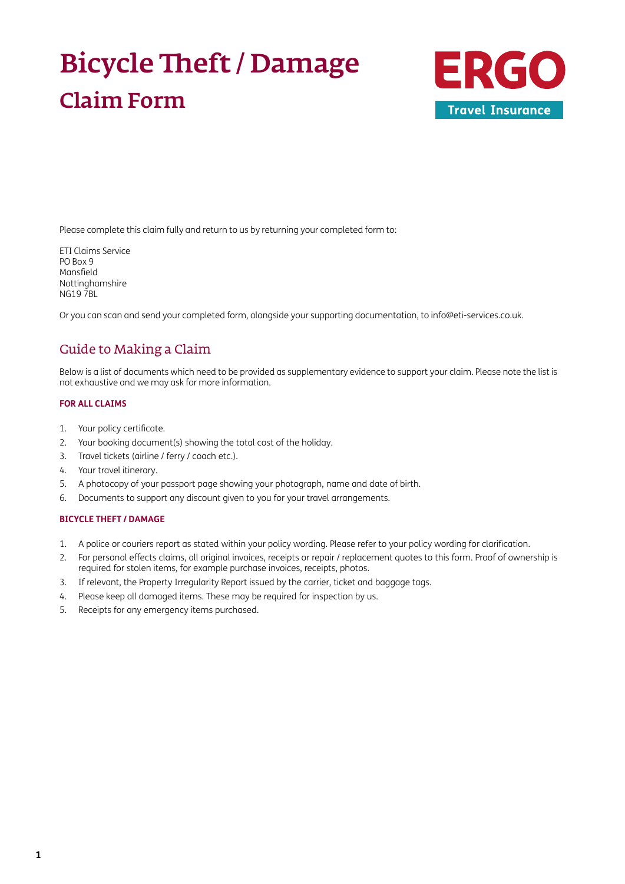# Bicycle Theft / Damage Claim Form



Please complete this claim fully and return to us by returning your completed form to:

ETI Claims Service PO Box 9 Mansfield Nottinghamshire NG19 7BL

Or you can scan and send your completed form, alongside your supporting documentation, to [info@eti-services.co.uk.](mailto:info%40eti-services.co.uk?subject=)

### Guide to Making a Claim

Below is a list of documents which need to be provided as supplementary evidence to support your claim. Please note the list is not exhaustive and we may ask for more information.

#### **FOR ALL CLAIMS**

- 1. Your policy certificate.
- 2. Your booking document(s) showing the total cost of the holiday.
- 3. Travel tickets (airline / ferry / coach etc.).
- 4. Your travel itinerary.
- 5. A photocopy of your passport page showing your photograph, name and date of birth.
- 6. Documents to support any discount given to you for your travel arrangements.

#### **BICYCLE THEFT / DAMAGE**

- 1. A police or couriers report as stated within your policy wording. Please refer to your policy wording for clarification.
- 2. For personal effects claims, all original invoices, receipts or repair / replacement quotes to this form. Proof of ownership is required for stolen items, for example purchase invoices, receipts, photos.
- 3. If relevant, the Property Irregularity Report issued by the carrier, ticket and baggage tags.
- 4. Please keep all damaged items. These may be required for inspection by us.
- 5. Receipts for any emergency items purchased.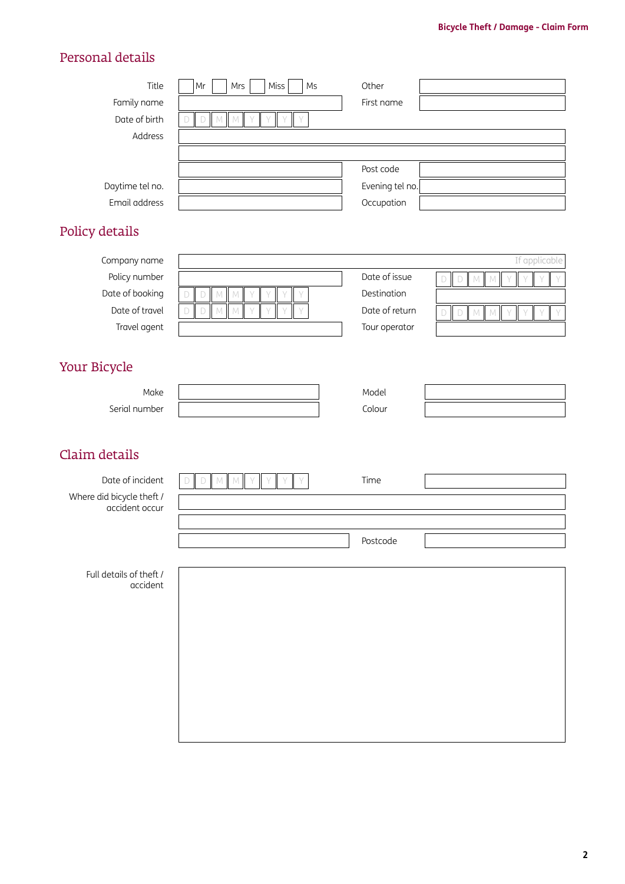# Personal details

| Title<br>Family name<br>Date of birth<br>Address<br>Daytime tel no.<br>Email address<br>Policy details | Miss<br>Ms<br>Mr<br>Mrs<br>$M$ $M$<br>$\mathbb D$<br>Y<br>$\mathsf{Y}$<br>Y<br>D                                        | Other<br>First name<br>Post code<br>Evening tel no.<br>Occupation |                                                                                                                        |
|--------------------------------------------------------------------------------------------------------|-------------------------------------------------------------------------------------------------------------------------|-------------------------------------------------------------------|------------------------------------------------------------------------------------------------------------------------|
| Company name<br>Policy number<br>Date of booking<br>Date of travel<br>Travel agent                     | $\mathbb M^-$<br>${\mathbb M}$<br>Y<br>D<br>D<br>$\Box$<br>$\mathbb M^-$<br>${\mathbb M}$<br>Y<br>$\vee$<br>Y<br>$\Box$ | Date of issue<br>Destination<br>Date of return<br>Tour operator   | If applicable<br>$\mathsf D$<br>D<br>${\mathbb M}$<br>$\mathbb N$<br>$\Box$<br>$\Box$<br>${\mathbb M}$<br>$\mathbb{M}$ |
| Your Bicycle<br>Make<br>Serial number                                                                  |                                                                                                                         | Model<br>Colour                                                   |                                                                                                                        |
| Claim details<br>Date of incident<br>Where did bicycle theft /<br>accident occur                       | $\mathbb D$<br>$\mathbb M^-$<br>$\mathbb{M}$<br>$\Box$                                                                  | Time<br>Postcode                                                  |                                                                                                                        |
| Full details of theft /<br>accident                                                                    |                                                                                                                         |                                                                   |                                                                                                                        |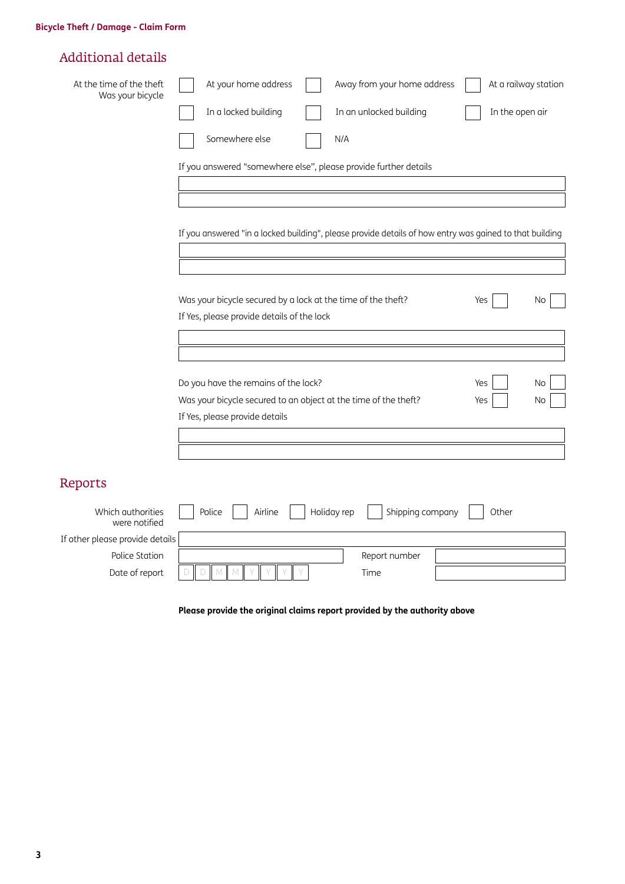# Additional details

| At the time of the theft<br>Was your bicycle | At your home address<br>At a railway station<br>Away from your home address                                    |
|----------------------------------------------|----------------------------------------------------------------------------------------------------------------|
|                                              | In a locked building<br>In an unlocked building<br>In the open air                                             |
|                                              | Somewhere else<br>N/A                                                                                          |
|                                              | If you answered "somewhere else", please provide further details                                               |
|                                              |                                                                                                                |
|                                              | If you answered "in a locked building", please provide details of how entry was gained to that building        |
|                                              |                                                                                                                |
|                                              | Was your bicycle secured by a lock at the time of the theft?<br>Yes<br>No                                      |
|                                              | If Yes, please provide details of the lock                                                                     |
|                                              |                                                                                                                |
|                                              | Do you have the remains of the lock?<br>Yes<br>No                                                              |
|                                              | Was your bicycle secured to an object at the time of the theft?<br>No<br>Yes<br>If Yes, please provide details |
|                                              |                                                                                                                |
|                                              |                                                                                                                |
| Reports                                      |                                                                                                                |
|                                              |                                                                                                                |

| Which authorities<br>were notified | Airline<br>Holiday rep<br>Police | Shipping company<br>Other |
|------------------------------------|----------------------------------|---------------------------|
| If other please provide details    |                                  |                           |
| Police Station                     |                                  | Report number             |
| Date of report                     |                                  | Time                      |
|                                    |                                  |                           |

**Please provide the original claims report provided by the authority above**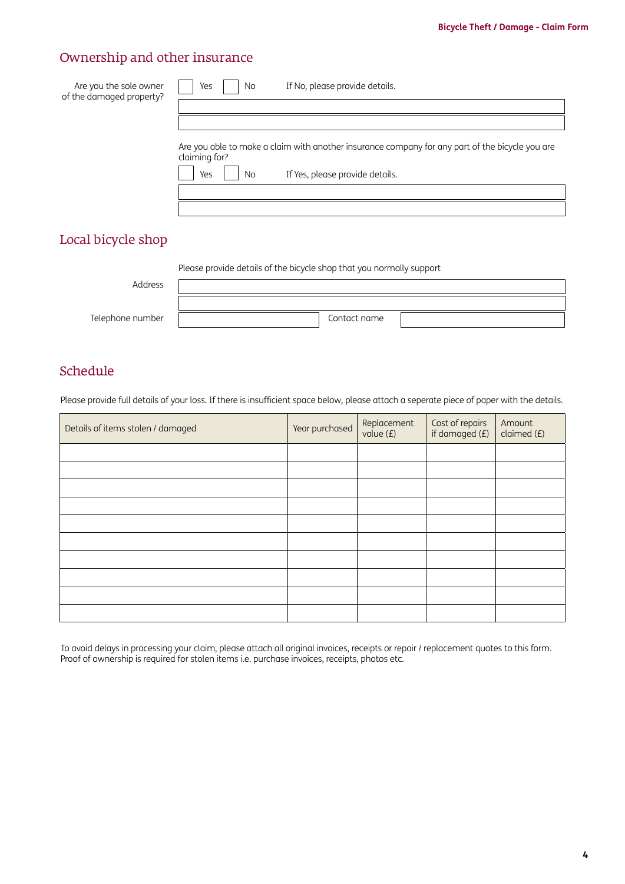# Ownership and other insurance

| Are you the sole owner<br>of the damaged property? | If No, please provide details.<br>Yes<br>No                                                                      |
|----------------------------------------------------|------------------------------------------------------------------------------------------------------------------|
|                                                    |                                                                                                                  |
|                                                    |                                                                                                                  |
|                                                    | Are you able to make a claim with another insurance company for any part of the bicycle you are<br>claiming for? |
|                                                    | If Yes, please provide details.<br>Yes<br>No.                                                                    |
|                                                    |                                                                                                                  |
|                                                    |                                                                                                                  |
|                                                    |                                                                                                                  |

# Local bicycle shop

|                  | Please provide details of the bicycle shop that you normally support |              |  |
|------------------|----------------------------------------------------------------------|--------------|--|
| Address          |                                                                      |              |  |
|                  |                                                                      |              |  |
| Telephone number |                                                                      | Contact name |  |
|                  |                                                                      |              |  |

## Schedule

Please provide full details of your loss. If there is insufficient space below, please attach a seperate piece of paper with the details.

| Details of items stolen / damaged | Year purchased | Replacement<br>value $(E)$ | Cost of repairs<br>if damaged (£) | Amount<br>claimed $(f)$ |
|-----------------------------------|----------------|----------------------------|-----------------------------------|-------------------------|
|                                   |                |                            |                                   |                         |
|                                   |                |                            |                                   |                         |
|                                   |                |                            |                                   |                         |
|                                   |                |                            |                                   |                         |
|                                   |                |                            |                                   |                         |
|                                   |                |                            |                                   |                         |
|                                   |                |                            |                                   |                         |
|                                   |                |                            |                                   |                         |
|                                   |                |                            |                                   |                         |
|                                   |                |                            |                                   |                         |

To avoid delays in processing your claim, please attach all original invoices, receipts or repair / replacement quotes to this form. Proof of ownership is required for stolen items i.e. purchase invoices, receipts, photos etc.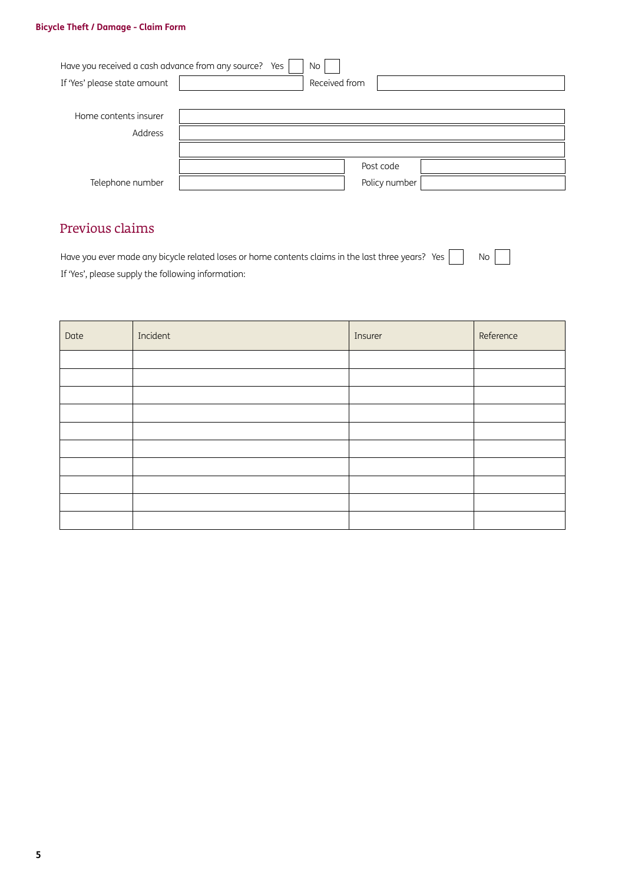#### **Bicycle Theft / Damage - Claim Form**

| Have you received a cash advance from any source? Yes | No            |
|-------------------------------------------------------|---------------|
| If 'Yes' please state amount                          | Received from |
|                                                       |               |
| Home contents insurer                                 |               |
| Address                                               |               |
|                                                       |               |
|                                                       | Post code     |
| Telephone number                                      | Policy number |

 $\mathcal{L}$ 

# Previous claims

Have you ever made any bicycle related loses or home contents claims in the last three years? Yes  $\Box$  No If 'Yes', please supply the following information:

| Date | Incident | Insurer | Reference |
|------|----------|---------|-----------|
|      |          |         |           |
|      |          |         |           |
|      |          |         |           |
|      |          |         |           |
|      |          |         |           |
|      |          |         |           |
|      |          |         |           |
|      |          |         |           |
|      |          |         |           |
|      |          |         |           |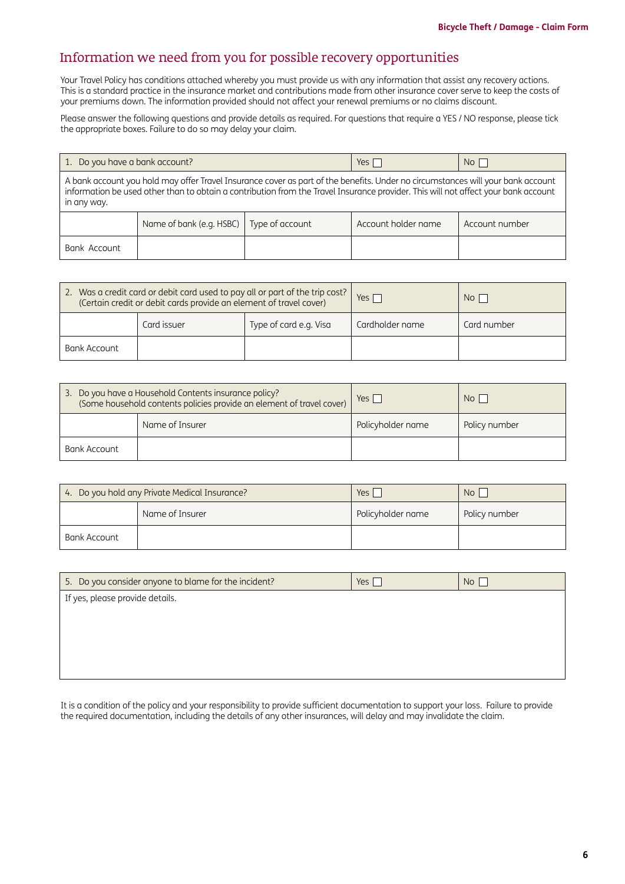### Information we need from you for possible recovery opportunities

Your Travel Policy has conditions attached whereby you must provide us with any information that assist any recovery actions. This is a standard practice in the insurance market and contributions made from other insurance cover serve to keep the costs of your premiums down. The information provided should not affect your renewal premiums or no claims discount.

Please answer the following questions and provide details as required. For questions that require a YES / NO response, please tick the appropriate boxes. Failure to do so may delay your claim.

| 1. Do you have a bank account?                                                                                                                                                                                                                                                       |                          |                 | $Yes$               | $No$           |
|--------------------------------------------------------------------------------------------------------------------------------------------------------------------------------------------------------------------------------------------------------------------------------------|--------------------------|-----------------|---------------------|----------------|
| A bank account you hold may offer Travel Insurance cover as part of the benefits. Under no circumstances will your bank account<br>information be used other than to obtain a contribution from the Travel Insurance provider. This will not affect your bank account<br>in any way. |                          |                 |                     |                |
|                                                                                                                                                                                                                                                                                      | Name of bank (e.g. HSBC) | Type of account | Account holder name | Account number |
| Bank Account                                                                                                                                                                                                                                                                         |                          |                 |                     |                |

| 2. Was a credit card or debit card used to pay all or part of the trip cost?<br>(Certain credit or debit cards provide an element of travel cover) |             | Yes I                  | No I            |             |
|----------------------------------------------------------------------------------------------------------------------------------------------------|-------------|------------------------|-----------------|-------------|
|                                                                                                                                                    | Card issuer | Type of card e.g. Visa | Cardholder name | Card number |
| Bank Account                                                                                                                                       |             |                        |                 |             |

| 3. Do you have a Household Contents insurance policy?<br>(Some household contents policies provide an element of travel cover) |  | $Yes \mid$        | N <sub>O</sub> |
|--------------------------------------------------------------------------------------------------------------------------------|--|-------------------|----------------|
| Name of Insurer                                                                                                                |  | Policyholder name | Policy number  |
| Bank Account                                                                                                                   |  |                   |                |

| 4. Do you hold any Private Medical Insurance? |                 | Yes,              | No <sub>1</sub> |
|-----------------------------------------------|-----------------|-------------------|-----------------|
|                                               | Name of Insurer | Policyholder name | Policy number   |
| Bank Account                                  |                 |                   |                 |

| 5. Do you consider anyone to blame for the incident? | Yes [ | No |
|------------------------------------------------------|-------|----|
| If yes, please provide details.                      |       |    |
|                                                      |       |    |
|                                                      |       |    |
|                                                      |       |    |
|                                                      |       |    |

It is a condition of the policy and your responsibility to provide sufficient documentation to support your loss. Failure to provide the required documentation, including the details of any other insurances, will delay and may invalidate the claim.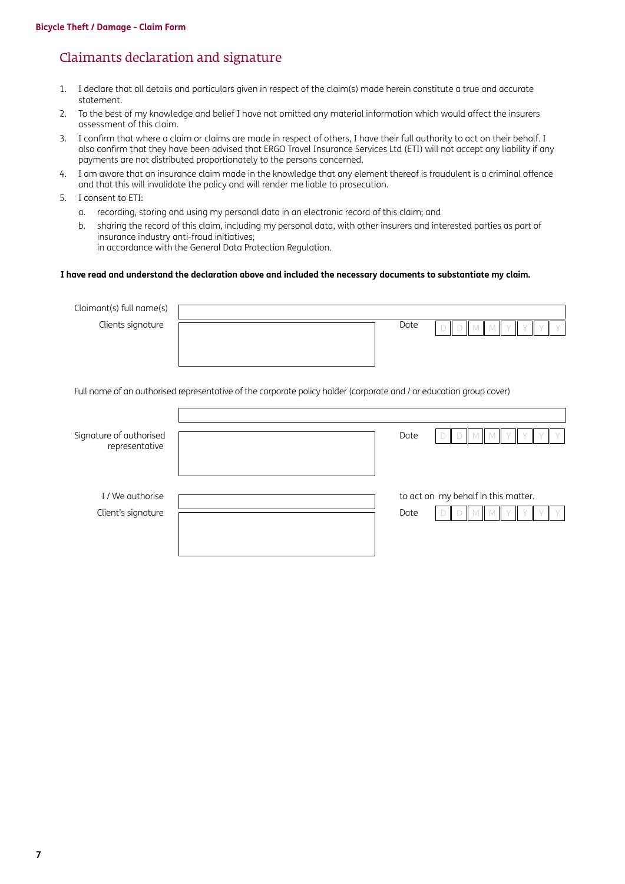### Claimants declaration and signature

- 1. I declare that all details and particulars given in respect of the claim(s) made herein constitute a true and accurate statement.
- 2. To the best of my knowledge and belief I have not omitted any material information which would affect the insurers assessment of this claim.
- 3. I confirm that where a claim or claims are made in respect of others, I have their full authority to act on their behalf. I also confirm that they have been advised that ERGO Travel Insurance Services Ltd (ETI) will not accept any liability if any payments are not distributed proportionately to the persons concerned.
- 4. I am aware that an insurance claim made in the knowledge that any element thereof is fraudulent is a criminal offence and that this will invalidate the policy and will render me liable to prosecution.
- 5. I consent to ETI:
	- a. recording, storing and using my personal data in an electronic record of this claim; and
	- b. sharing the record of this claim, including my personal data, with other insurers and interested parties as part of insurance industry anti-fraud initiatives; in accordance with the General Data Protection Regulation.

#### **I have read and understand the declaration above and included the necessary documents to substantiate my claim.**

| Claimant(s) full name(s)                  |                                                                                                                     |      |                                     |
|-------------------------------------------|---------------------------------------------------------------------------------------------------------------------|------|-------------------------------------|
| Clients signature                         |                                                                                                                     | Date |                                     |
|                                           | Full name of an authorised representative of the corporate policy holder (corporate and / or education group cover) |      |                                     |
| Signature of authorised<br>representative |                                                                                                                     | Date |                                     |
| I / We authorise<br>Client's signature    |                                                                                                                     | Date | to act on my behalf in this matter. |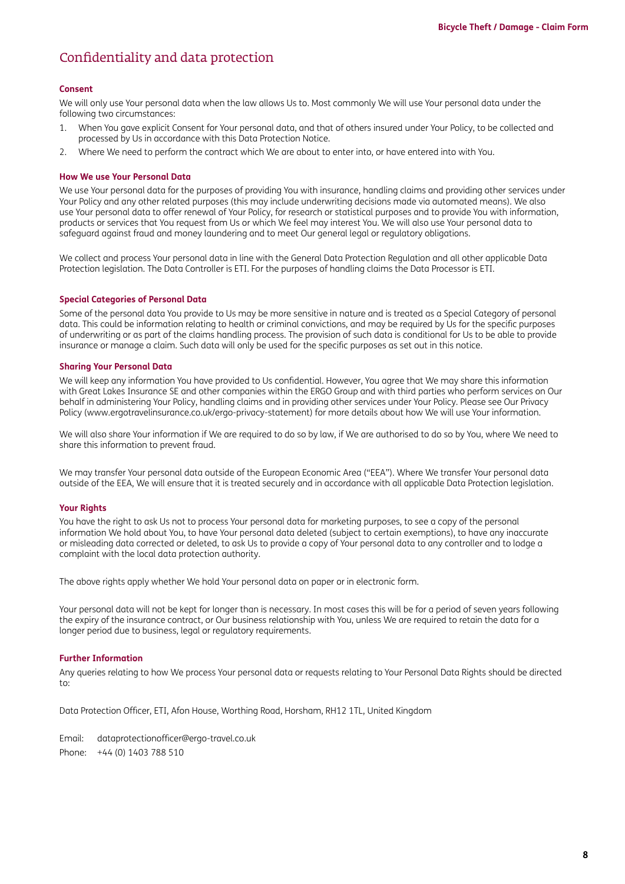## Confidentiality and data protection

#### **Consent**

We will only use Your personal data when the law allows Us to. Most commonly We will use Your personal data under the following two circumstances:

- 1. When You gave explicit Consent for Your personal data, and that of others insured under Your Policy, to be collected and processed by Us in accordance with this Data Protection Notice.
- 2. Where We need to perform the contract which We are about to enter into, or have entered into with You.

#### **How We use Your Personal Data**

We use Your personal data for the purposes of providing You with insurance, handling claims and providing other services under Your Policy and any other related purposes (this may include underwriting decisions made via automated means). We also use Your personal data to offer renewal of Your Policy, for research or statistical purposes and to provide You with information, products or services that You request from Us or which We feel may interest You. We will also use Your personal data to safeguard against fraud and money laundering and to meet Our general legal or regulatory obligations.

We collect and process Your personal data in line with the General Data Protection Regulation and all other applicable Data Protection legislation. The Data Controller is ETI. For the purposes of handling claims the Data Processor is ETI.

#### **Special Categories of Personal Data**

Some of the personal data You provide to Us may be more sensitive in nature and is treated as a Special Category of personal data. This could be information relating to health or criminal convictions, and may be required by Us for the specific purposes of underwriting or as part of the claims handling process. The provision of such data is conditional for Us to be able to provide insurance or manage a claim. Such data will only be used for the specific purposes as set out in this notice.

#### **Sharing Your Personal Data**

We will keep any information You have provided to Us confidential. However, You agree that We may share this information with Great Lakes Insurance SE and other companies within the ERGO Group and with third parties who perform services on Our behalf in administering Your Policy, handling claims and in providing other services under Your Policy. Please see Our Privacy Policy [\(www.ergotravelinsurance.co.uk/ergo-privacy-statement](http://www.ergotravelinsurance.co.uk/ergo-privacy-statement)) for more details about how We will use Your information.

We will also share Your information if We are required to do so by law, if We are authorised to do so by You, where We need to share this information to prevent fraud.

We may transfer Your personal data outside of the European Economic Area ("EEA"). Where We transfer Your personal data outside of the EEA, We will ensure that it is treated securely and in accordance with all applicable Data Protection legislation.

#### **Your Rights**

You have the right to ask Us not to process Your personal data for marketing purposes, to see a copy of the personal information We hold about You, to have Your personal data deleted (subject to certain exemptions), to have any inaccurate or misleading data corrected or deleted, to ask Us to provide a copy of Your personal data to any controller and to lodge a complaint with the local data protection authority.

The above rights apply whether We hold Your personal data on paper or in electronic form.

Your personal data will not be kept for longer than is necessary. In most cases this will be for a period of seven years following the expiry of the insurance contract, or Our business relationship with You, unless We are required to retain the data for a longer period due to business, legal or regulatory requirements.

#### **Further Information**

Any queries relating to how We process Your personal data or requests relating to Your Personal Data Rights should be directed to:

Data Protection Officer, ETI, Afon House, Worthing Road, Horsham, RH12 1TL, United Kingdom

Email: [dataprotectionofficer@ergo-travel.co.uk](mailto:dataprotectionofficer%40ergo-travel.co.uk?subject=) Phone: +44 (0) 1403 788 510